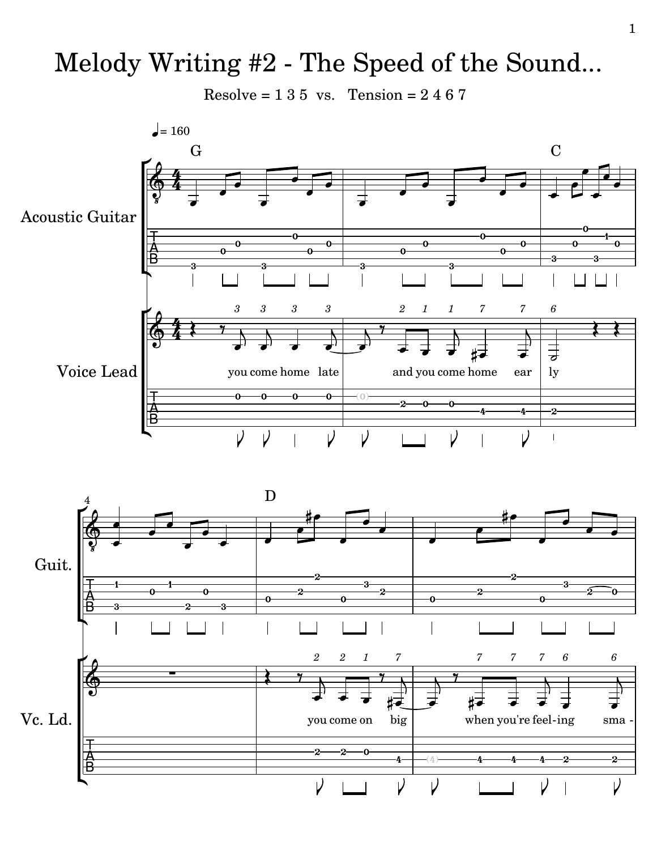## Melody Writing #2 - The Speed of the Sound...

Resolve =  $135$  vs. Tension =  $2467$ 

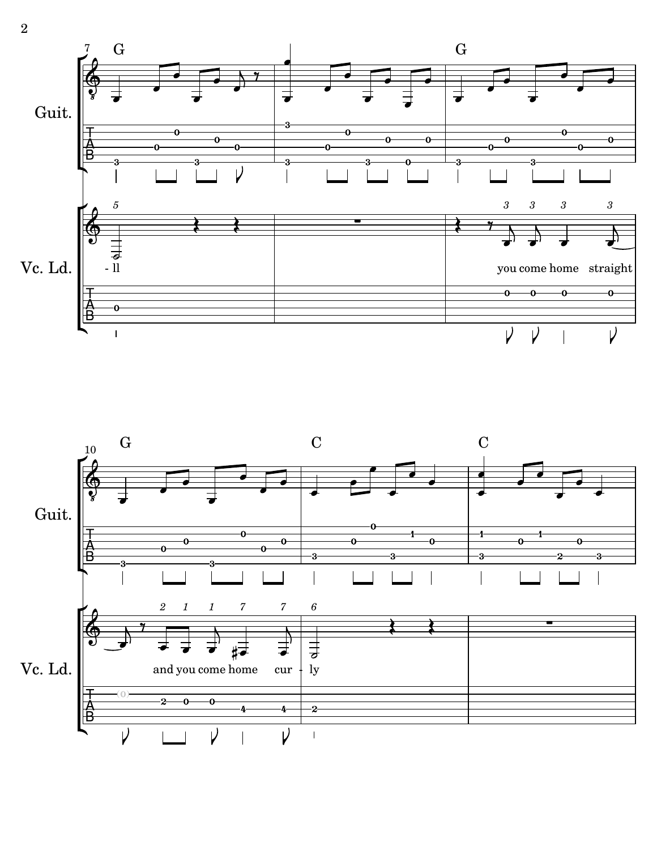

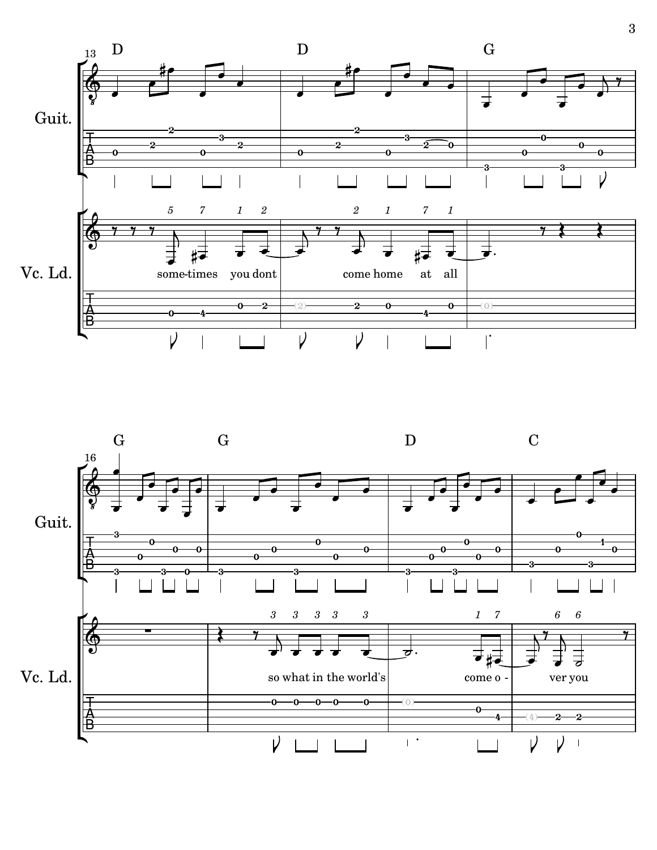

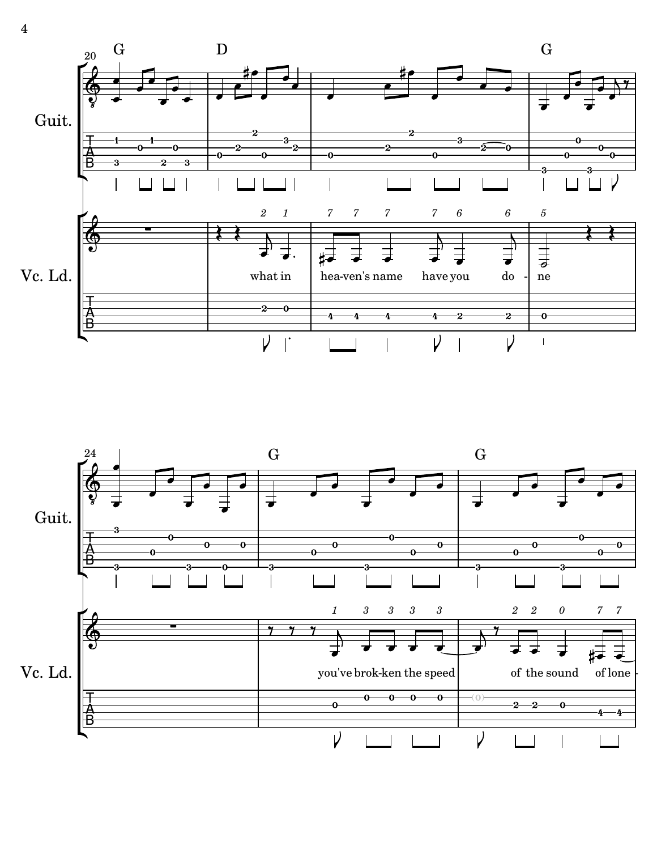